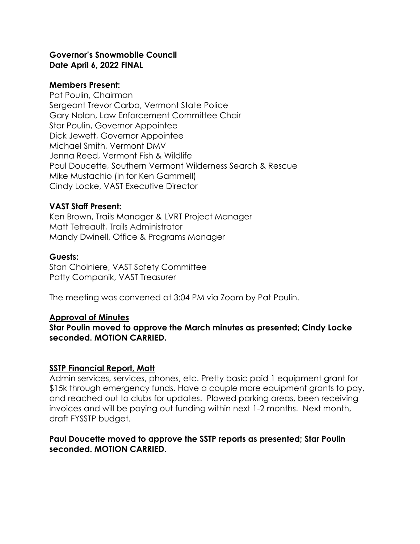#### **Governor's Snowmobile Council Date April 6, 2022 FINAL**

#### **Members Present:**

Pat Poulin, Chairman Sergeant Trevor Carbo, Vermont State Police Gary Nolan, Law Enforcement Committee Chair Star Poulin, Governor Appointee Dick Jewett, Governor Appointee Michael Smith, Vermont DMV Jenna Reed, Vermont Fish & Wildlife Paul Doucette, Southern Vermont Wilderness Search & Rescue Mike Mustachio (in for Ken Gammell) Cindy Locke, VAST Executive Director

## **VAST Staff Present:**

Ken Brown, Trails Manager & LVRT Project Manager Matt Tetreault, Trails Administrator Mandy Dwinell, Office & Programs Manager

# **Guests:**

Stan Choiniere, VAST Safety Committee Patty Companik, VAST Treasurer

The meeting was convened at 3:04 PM via Zoom by Pat Poulin.

## **Approval of Minutes**

**Star Poulin moved to approve the March minutes as presented; Cindy Locke seconded. MOTION CARRIED.**

## **SSTP Financial Report, Matt**

Admin services, services, phones, etc. Pretty basic paid 1 equipment grant for \$15k through emergency funds. Have a couple more equipment grants to pay, and reached out to clubs for updates. Plowed parking areas, been receiving invoices and will be paying out funding within next 1-2 months. Next month, draft FYSSTP budget.

## **Paul Doucette moved to approve the SSTP reports as presented; Star Poulin seconded. MOTION CARRIED.**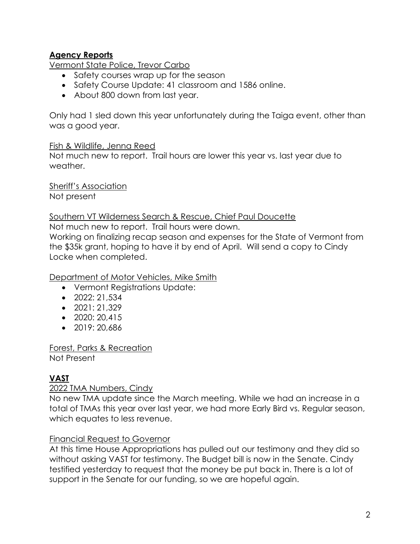# **Agency Reports**

Vermont State Police, Trevor Carbo

- Safety courses wrap up for the season
- Safety Course Update: 41 classroom and 1586 online.
- About 800 down from last year.

Only had 1 sled down this year unfortunately during the Taiga event, other than was a good year.

#### Fish & Wildlife, Jenna Reed

Not much new to report. Trail hours are lower this year vs. last year due to weather.

Sheriff's Association Not present

#### Southern VT Wilderness Search & Rescue, Chief Paul Doucette

Not much new to report. Trail hours were down.

Working on finalizing recap season and expenses for the State of Vermont from the \$35k grant, hoping to have it by end of April. Will send a copy to Cindy Locke when completed.

Department of Motor Vehicles, Mike Smith

- Vermont Registrations Update:
- 2022: 21,534
- $\bullet$  2021: 21,329
- 2020: 20,415
- 2019: 20,686

Forest, Parks & Recreation Not Present

# **VAST**

## 2022 TMA Numbers, Cindy

No new TMA update since the March meeting. While we had an increase in a total of TMAs this year over last year, we had more Early Bird vs. Regular season, which equates to less revenue.

## Financial Request to Governor

At this time House Appropriations has pulled out our testimony and they did so without asking VAST for testimony. The Budget bill is now in the Senate. Cindy testified yesterday to request that the money be put back in. There is a lot of support in the Senate for our funding, so we are hopeful again.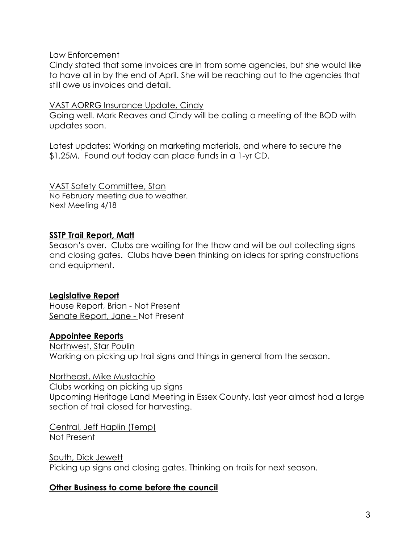#### Law Enforcement

Cindy stated that some invoices are in from some agencies, but she would like to have all in by the end of April. She will be reaching out to the agencies that still owe us invoices and detail.

#### VAST AORRG Insurance Update, Cindy

Going well. Mark Reaves and Cindy will be calling a meeting of the BOD with updates soon.

Latest updates: Working on marketing materials, and where to secure the \$1.25M. Found out today can place funds in a 1-yr CD.

VAST Safety Committee, Stan No February meeting due to weather. Next Meeting 4/18

# **SSTP Trail Report, Matt**

Season's over. Clubs are waiting for the thaw and will be out collecting signs and closing gates. Clubs have been thinking on ideas for spring constructions and equipment.

## **Legislative Report**

House Report, Brian - Not Present Senate Report, Jane - Not Present

## **Appointee Reports**

Northwest, Star Poulin Working on picking up trail signs and things in general from the season.

#### Northeast, Mike Mustachio

Clubs working on picking up signs Upcoming Heritage Land Meeting in Essex County, last year almost had a large section of trail closed for harvesting.

Central, Jeff Haplin (Temp) Not Present

South, Dick Jewett Picking up signs and closing gates. Thinking on trails for next season.

## **Other Business to come before the council**